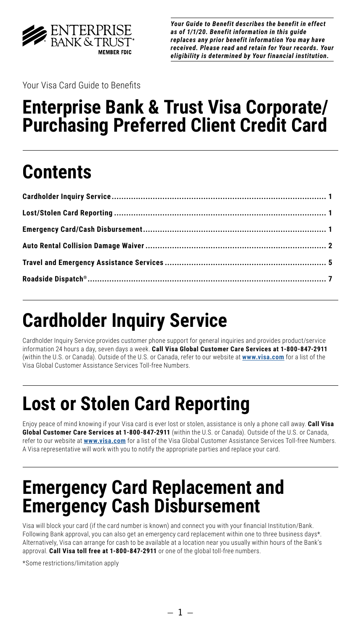

*Your Guide to Benefit describes the benefit in effect as of 1/1/20. Benefit information in this guide replaces any prior benefit information You may have received. Please read and retain for Your records. Your eligibility is determined by Your financial institution.*

Your Visa Card Guide to Benefits

## **Enterprise Bank & Trust Visa Corporate/ Purchasing Preferred Client Credit Card**

# **Contents**

# **Cardholder Inquiry Service**

Cardholder Inquiry Service provides customer phone support for general inquiries and provides product/service information 24 hours a day, seven days a week. **Call Visa Global Customer Care Services at 1-800-847-2911** (within the U.S. or Canada). Outside of the U.S. or Canada, refer to our website at **[www.visa.com](http://www.visa.com)** for a list of the Visa Global Customer Assistance Services Toll-free Numbers.

# **Lost or Stolen Card Reporting**

Enjoy peace of mind knowing if your Visa card is ever lost or stolen, assistance is only a phone call away. **Call Visa Global Customer Care Services at 1-800-847-2911** (within the U.S. or Canada). Outside of the U.S. or Canada, refer to our website at **[www.visa.com](http://www.visa.com)** for a list of the Visa Global Customer Assistance Services Toll-free Numbers. A Visa representative will work with you to notify the appropriate parties and replace your card.

## **Emergency Card Replacement and Emergency Cash Disbursement**

Visa will block your card (if the card number is known) and connect you with your financial Institution/Bank. Following Bank approval, you can also get an emergency card replacement within one to three business days\*. Alternatively, Visa can arrange for cash to be available at a location near you usually within hours of the Bank's approval. **Call Visa toll free at 1-800-847-2911** or one of the global toll-free numbers.

\*Some restrictions/limitation apply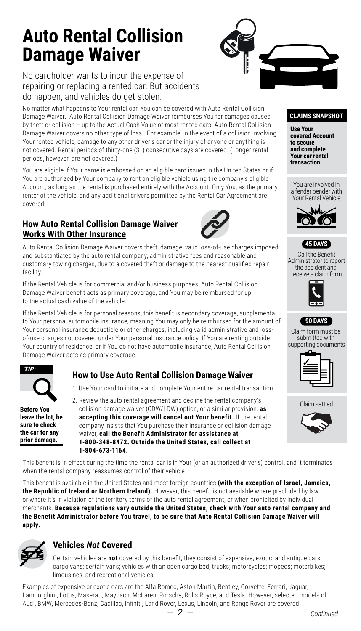## <span id="page-1-0"></span>**Auto Rental Collision Damage Waiver**



No cardholder wants to incur the expense of repairing or replacing a rented car. But accidents do happen, and vehicles do get stolen.

No matter what happens to Your rental car, You can be covered with Auto Rental Collision Damage Waiver. Auto Rental Collision Damage Waiver reimburses You for damages caused by theft or collision – up to the Actual Cash Value of most rented cars. Auto Rental Collision Damage Waiver covers no other type of loss. For example, in the event of a collision involving Your rented vehicle, damage to any other driver's car or the injury of anyone or anything is not covered. Rental periods of thirty-one (31) consecutive days are covered. (Longer rental periods, however, are not covered.)

You are eligible if Your name is embossed on an eligible card issued in the United States or if  $\qquad \Box$ You are authorized by Your company to rent an eligible vehicle using the company's eligible Account, as long as the rental is purchased entirely with the Account. Only You, as the primary renter of the vehicle, and any additional drivers permitted by the Rental Car Agreement are covered.

#### **How Auto Rental Collision Damage Waiver Works With Other Insurance**



Auto Rental Collision Damage Waiver covers theft, damage, valid loss-of-use charges imposed **6 MONTHS** and substantiated by the auto rental company, administrative fees and reasonable and customary towing charges, due to a covered theft or damage to the nearest qualified repair facility.

If the Rental Vehicle is for commercial and/or business purposes, Auto Rental Collision Damage Waiver benefit acts as primary coverage, and You may be reimbursed for up to the actual cash value of the vehicle.

If the Rental Vehicle is for personal reasons, this benefit is secondary coverage, supplemental to Your personal automobile insurance, meaning You may only be reimbursed for the amount of Your personal insurance deductible or other charges, including valid administrative and lossof-use charges not covered under Your personal insurance policy. If You are renting outside Your country of residence, or if You do not have automobile insurance, Auto Rental Collision Damage Waiver acts as primary coverage.



**prior damage.** 

Before You **leave the lot, be sure to check 45 DAYS** the car for any

## **How to Use Auto Rental Collision Damage Waiver**

- 1. Use Your card to initiate and complete Your entire car rental transaction.
- 2. Review the auto rental agreement and decline the rental company's collision damage waiver (CDW/LDW) option, or a similar provision, **as accepting this coverage will cancel out Your benefit.** If the rental company insists that You purchase their insurance or collision damage waiver, **call the Benefit Administrator for assistance at 1-800-348-8472. Outside the United States, call collect at 1-804-673-1164.**

This benefit is in effect during the time the rental car is in Your (or an authorized driver's) control, and it terminates when the rental company reassumes control of their vehicle.

This benefit is available in the United States and most foreign countries (with the exception of Israel, Jamaica, **the Republic of Ireland or Northern Ireland).** However, this benefit is not available where precluded by law, or where it's in violation of the territory terms of the auto rental agreement, or when prohibited by individual merchants. Because regulations vary outside the United States, check with Your auto rental company and merchants: because regulations vary outside the onited States, check with Your auto rental company<br>the Benefit Administrator before You travel, to be sure that Auto Rental Collision Damage Waiver will **apply.**



### **Vehicles** *Not* **Covered**

Certain vehicles are **not** covered by this benefit, they consist of expensive, exotic, and antique cars; cargo vans; certain vans; vehicles with an open cargo bed; trucks; motorcycles; mopeds; motorbikes; limousines; and recreational vehicles.

 $\overline{2}$ . Examples of expensive or exotic cars are the Alfa Romeo, Aston Martin, Bentley, Corvette, Ferrari, Jaguar, Lamborghini, Lotus, Maserati, Maybach, McLaren, Porsche, Rolls Royce, and Tesla. However, selected models of Audi, BMW, Mercedes-Benz, Cadillac, Infiniti, Land Rover, Lexus, Lincoln, and Range Rover are covered.

#### **CLAIMS SNAPSHOT**

**Use Your covered Account to secure and complete Your car rental transaction**

You are involved in a fender bender with Your Rental Vehicle





Call the Benefit Administrator to report the accident and receive a claim form





Claim form must be submitted with supporting documents



Claim settled

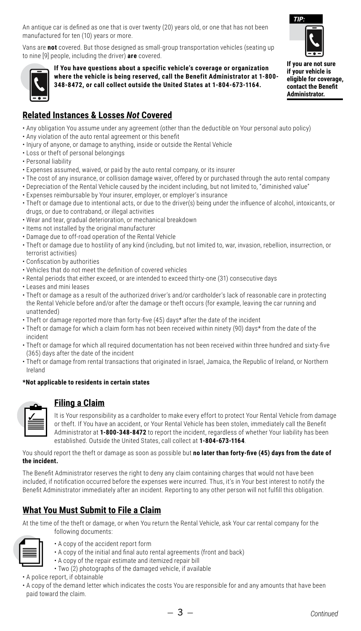An antique car is defined as one that is over twenty (20) years old, or one that has not been manufactured for ten (10) years or more.

Vans are **not** covered. But those designed as small-group transportation vehicles (seating up to nine [9] people, including the driver) **are** covered.



If You have questions about a specific vehicle's coverage or organization **where the vehicle is being reserved, call the Benefit Administrator at 1-800- 348-8472, or call collect outside the United States at 1-804-673-1164.** 



*TIP:* **Administrator. If you are not sure if your vehicle is eligible for coverage, contact the Benefit** 

## **Related Instances & Losses** *Not* **Covered**

- Any obligation You assume under any agreement (other than the deductible on Your personal auto policy)
- Any violation of the auto rental agreement or this benefit
- Injury of anyone, or damage to anything, inside or outside the Rental Vehicle
- Loss or theft of personal belongings
- Personal liability
- Expenses assumed, waived, or paid by the auto rental company, or its insurer
- The cost of any insurance, or collision damage waiver, offered by or purchased through the auto rental company
- Depreciation of the Rental Vehicle caused by the incident including, but not limited to, "diminished value"
- Expenses reimbursable by Your insurer, employer, or employer's insurance
- Theft or damage due to intentional acts, or due to the driver(s) being under the influence of alcohol, intoxicants, or drugs, or due to contraband, or illegal activities
- Wear and tear, gradual deterioration, or mechanical breakdown
- Items not installed by the original manufacturer
- Damage due to off-road operation of the Rental Vehicle
- Theft or damage due to hostility of any kind (including, but not limited to, war, invasion, rebellion, insurrection, or terrorist activities)
- Confiscation by authorities
- Vehicles that do not meet the definition of covered vehicles **45 DAYS**
- $\bm{\cdot}$  Rental periods that either exceed, or are intended to exceed thirty-one (31) consecutive days
- $\bm{\cdot}$  Leases and mini leases
- Theft or damage as a result of the authorized driver's and/or cardholder's lack of reasonable care in protecting the Rental Vehicle before and/or after the damage or theft occurs (for example, leaving the car running and unattended)
- Theft or damage reported more than forty-five (45) days\* after the date of the incident
- $\cdot$  Theft or damage for which a claim form has not been received within ninety (90) days\* from the date of the incident
- Theft or damage for which all required documentation has not been received within three hundred and sixty-five (365) days after the date of the incident
- $\cdot$  Theft or damage from rental transactions that originated in Israel, Jamaica, the Republic of Ireland, or Northern Ireland

#### \*Not applicable to residents in certain states

#### **Filing a Claim**

It is Your responsibility as a cardholder to make every effort to protect Your Rental Vehicle from damage or theft. If You have an accident, or Your Rental Vehicle has been stolen, immediately call the Benefit Administrator at **1-800-348-8472** to report the incident, regardless of whether Your liability has been established. Outside the United States, call collect at **1-804-673-1164**.

You should report the theft or damage as soon as possible but **no later than forty-five (45) days from the date of the incident.**

The Benefit Administrator reserves the right to deny any claim containing charges that would not have been included, if notification occurred before the expenses were incurred. Thus, it's in Your best interest to notify the Benefit Administrator immediately after an incident. Reporting to any other person will not fulfill this obligation.

### **What You Must Submit to File a Claim**

At the time of the theft or damage, or when You return the Rental Vehicle, ask Your car rental company for the following documents:



- A copy of the accident report form
- A copy of the initial and final auto rental agreements (front and back)
- A copy of the repair estimate and itemized repair bill • Two (2) photographs of the damaged vehicle, if available
- A police report, if obtainable
- A copy of the demand letter which indicates the costs You are responsible for and any amounts that have been paid toward the claim.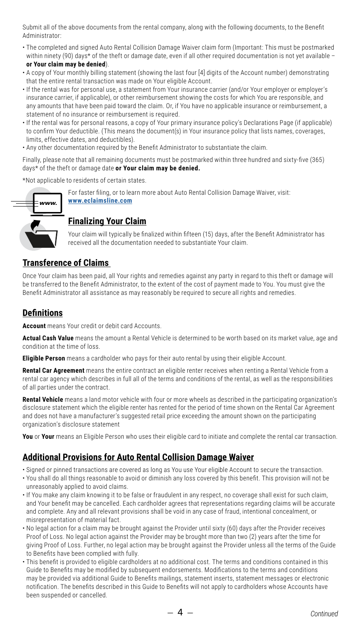Submit all of the above documents from the rental company, along with the following documents, to the Benefit Administrator:

• The completed and signed Auto Rental Collision Damage Waiver claim form (Important: This must be postmarked within ninety (90) days\* of the theft or damage date, even if all other required documentation is not yet available – **6 MONTHS**

#### or Your claim may be denied).

- A copy of Your monthly billing statement (showing the last four [4] digits of the Account number) demonstrating that the entire rental transaction was made on Your eligible Account.
- If the rental was for personal use, a statement from Your insurance carrier (and/or Your employer or employer's **12 MONTHS** insurance carrier, if applicable), or other reimbursement showing the costs for which You are responsible, and any amounts that have been paid toward the claim. Or, if You have no applicable insurance or reimbursement, a statement of no insurance or reimbursement is required.
- If the rental was for personal reasons, a copy of Your primary insurance policy's Declarations Page (if applicable) to confirm Your deductible. (This means the document(s) in Your insurance policy that lists names, coverages, limits, effective dates, and deductibles).
- Any other documentation required by the Benefit Administrator to substantiate the claim.

Finally, please note that all remaining documents must be postmarked within three hundred and sixty-five (365) days\* of the theft or damage date **or Your claim may be denied.**

\*Not applicable to residents of certain states.



#### For faster filing, or to learn more about Auto Rental Collision Damage Waiver, visit: **[www.eclaimsline.com](http://www.eclaimsline.com)**

#### **Finalizing Your Claim**

Your claim will typically be finalized within fifteen (15) days, after the Benefit Administrator has received all the documentation needed to substantiate Your claim.

#### **Transference of Claims**

Once Your claim has been paid, all Your rights and remedies against any party in regard to this theft or damage will be transferred to the Benefit Administrator, to the extent of the cost of payment made to You. You must give the Benefit Administrator all assistance as may reasonably be required to secure all rights and remedies.

#### **Definitions**

**Account** means Your credit or debit card Accounts.

**Actual Cash Value** means the amount a Rental Vehicle is determined to be worth based on its market value, age and condition at the time of loss.

**Eligible Person** means a cardholder who pays for their auto rental by using their eligible Account.

**Rental Car Agreement** means the entire contract an eligible renter receives when renting a Rental Vehicle from a rental car agency which describes in full all of the terms and conditions of the rental, as well as the responsibilities of all parties under the contract.

**Rental Vehicle** means a land motor vehicle with four or more wheels as described in the participating organization's disclosure statement which the eligible renter has rented for the period of time shown on the Rental Car Agreement and does not have a manufacturer's suggested retail price exceeding the amount shown on the participating organization's disclosure statement

**You** or **Your** means an Eligible Person who uses their eligible card to initiate and complete the rental car transaction.

#### **Additional Provisions for Auto Rental Collision Damage Waiver**

- Signed or pinned transactions are covered as long as You use Your eligible Account to secure the transaction.
- You shall do all things reasonable to avoid or diminish any loss covered by this benefit. This provision will not be unreasonably applied to avoid claims.
- If You make any claim knowing it to be false or fraudulent in any respect, no coverage shall exist for such claim, and Your benefit may be cancelled. Each cardholder agrees that representations regarding claims will be accurate and complete. Any and all relevant provisions shall be void in any case of fraud, intentional concealment, or misrepresentation of material fact.
- No legal action for a claim may be brought against the Provider until sixty (60) days after the Provider receives Proof of Loss. No legal action against the Provider may be brought more than two (2) years after the time for giving Proof of Loss. Further, no legal action may be brought against the Provider unless all the terms of the Guide to Benefits have been complied with fully.
- This benefit is provided to eligible cardholders at no additional cost. The terms and conditions contained in this Guide to Benefits may be modified by subsequent endorsements. Modifications to the terms and conditions may be provided via additional Guide to Benefits mailings, statement inserts, statement messages or electronic notification. The benefits described in this Guide to Benefits will not apply to cardholders whose Accounts have been suspended or cancelled.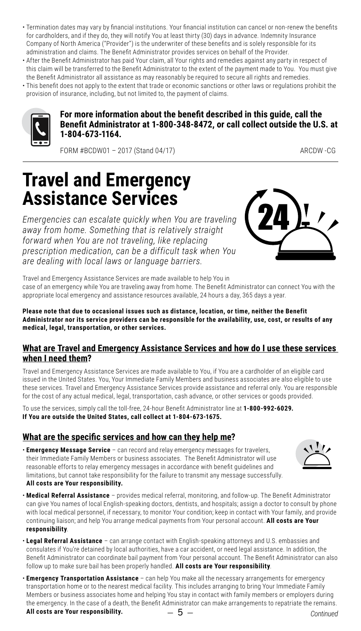- <span id="page-4-0"></span>• Termination dates may vary by financial institutions. Your financial institution can cancel or non-renew the benefits for cardholders, and if they do, they will notify You at least thirty (30) days in advance. Indemnity Insurance Company of North America ("Provider") is the underwriter of these benefits and is solely responsible for its administration and claims. The Benefit Administrator provides services on behalf of the Provider.
- After the Benefit Administrator has paid Your claim, all Your rights and remedies against any party in respect of this claim will be transferred to the Benefit Administrator to the extent of the payment made to You. You must give **6 MONTHS** the Benefit Administrator all assistance as may reasonably be required to secure all rights and remedies.
- This benefit does not apply to the extent that trade or economic sanctions or other laws or regulations prohibit the provision of insurance, including, but not limited to, the payment of claims.



#### For more information about the benefit described in this guide, call the **Benefit Administrator at 1-800-348-8472, or call collect outside the U.S. at 1-804-673-1164.**

FORM #BCDW01 - 2017 (Stand 04/17) ARCOW - CG

## **Travel and Emergency Assistance Services**

*Emergencies can escalate quickly when You are traveling away from home. Something that is relatively straight forward when You are not traveling, like replacing prescription medication, can be a difficult task when You are dealing with local laws or language barriers.* 



Travel and Emergency Assistance Services are made available to help You in case of an emergency while You are traveling away from home. The Benefit Administrator can connect You with the appropriate local emergency and assistance resources available, 24 hours a day, 365 days a year.

**Please note that due to occasional issues such as distance, location, or time, neither the Benefit Administrator nor its service providers can be responsible for the availability, use, cost, or results of any medical, legal, transportation, or other services.** 

#### **What are Travel and Emergency Assistance Services and how do I use these services when I need them?**

Travel and Emergency Assistance Services are made available to You, if You are a cardholder of an eligible card issued in the United States. You, Your Immediate Family Members and business associates are also eligible to use these services. Travel and Emergency Assistance Services provide assistance and referral only. You are responsible for the cost of any actual medical, legal, transportation, cash advance, or other services or goods provided.

To use the services, simply call the toll-free, 24-hour Benefit Administrator line at **1-800-992-6029. If You are outside the United States, call collect at 1-804-673-1675.** 

### **What are the specific services and how can they help me?**

• **Emergency Message Service** – can record and relay emergency messages for travelers, their Immediate Family Members or business associates. The Benefit Administrator will use reasonable efforts to relay emergency messages in accordance with benefit guidelines and limitations, but cannot take responsibility for the failure to transmit any message successfully. **All costs are Your responsibility.**



- **Legal Referral Assistance** can arrange contact with English-speaking attorneys and U.S. embassies and consulates if You're detained by local authorities, have a car accident, or need legal assistance. In addition, the Benefit Administrator can coordinate bail payment from Your personal account. The Benefit Administrator can also follow up to make sure bail has been properly handled. **All costs are Your responsibility**.
- **Emergency Transportation Assistance** can help You make all the necessary arrangements for emergency transportation home or to the nearest medical facility. This includes arranging to bring Your Immediate Family Members or business associates home and helping You stay in contact with family members or employers during the emergency. In the case of a death, the Benefit Administrator can make arrangements to repatriate the remains.

**All costs are Your responsibility.**

– 5 –

*Continued*

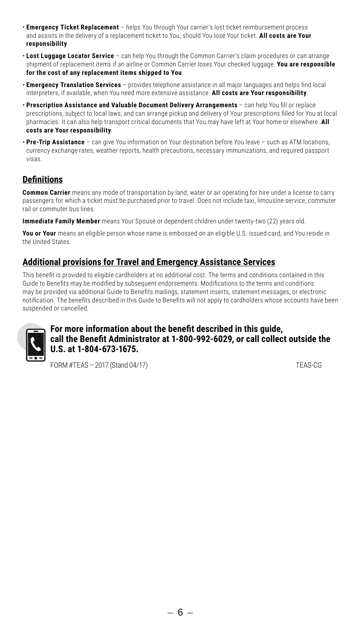- **Emergency Ticket Replacement** helps You through Your carrier's lost ticket reimbursement process and assists in the delivery of a replacement ticket to You, should You lose Your ticket. **All costs are Your responsibility**.
- **Lost Luggage Locator Service** can help You through the Common Carrier's claim procedures or can arrange shipment of replacement items if an airline or Common Carrier loses Your checked luggage. **You are responsible for the cost of any replacement items shipped to You**.
- **Emergency Translation Services** provides telephone assistance in all major languages and helps find local interpreters, if available, when You need more extensive assistance. **All costs are Your responsibility**.
- **Prescription Assistance and Valuable Document Delivery Arrangements** can help You fill or replace prescriptions, subject to local laws, and can arrange pickup and delivery of Your prescriptions filled for You at local pharmacies. It can also help transport critical documents that You may have left at Your home or elsewhere. **All costs are Your responsibility**.
- **Pre-Trip Assistance** can give You information on Your destination before You leave such as ATM locations, currency exchange rates, weather reports, health precautions, necessary immunizations, and required passport visas.

## **Definitions**

**Common Carrier** means any mode of transportation by land, water or air operating for hire under a license to carry passengers for which a ticket must be purchased prior to travel. Does not include taxi, limousine service, commuter **CLAIMS SNAPSHOT**.<br>rail or commuter bus lines.

**Immediate Family Member** means Your Spouse or dependent children under twenty-two (22) years old.

**You or Your** means an eligible person whose name is embossed on an eligible U.S. issued card, and You reside in the United States.

## **Additional provisions for Travel and Emergency Assistance Services**

This benefit is provided to eligible cardholders at no additional cost. The terms and conditions contained in this Guide to Benefits may be modified by subsequent endorsements. Modifications to the terms and conditions may be provided via additional Guide to Benefits mailings, statement inserts, statement messages, or electronic notification. The benefits described in this Guide to Benefits will not apply to cardholders whose accounts have been suspended or cancelled.



#### For more information about the benefit described in this guide, **call the Benefit Administrator at 1-800-992-6029, or call collect outside the U.S. at 1-804-673-1675.**

FORM #TEAS - 2017 (Stand 04/17) TEAS-CG